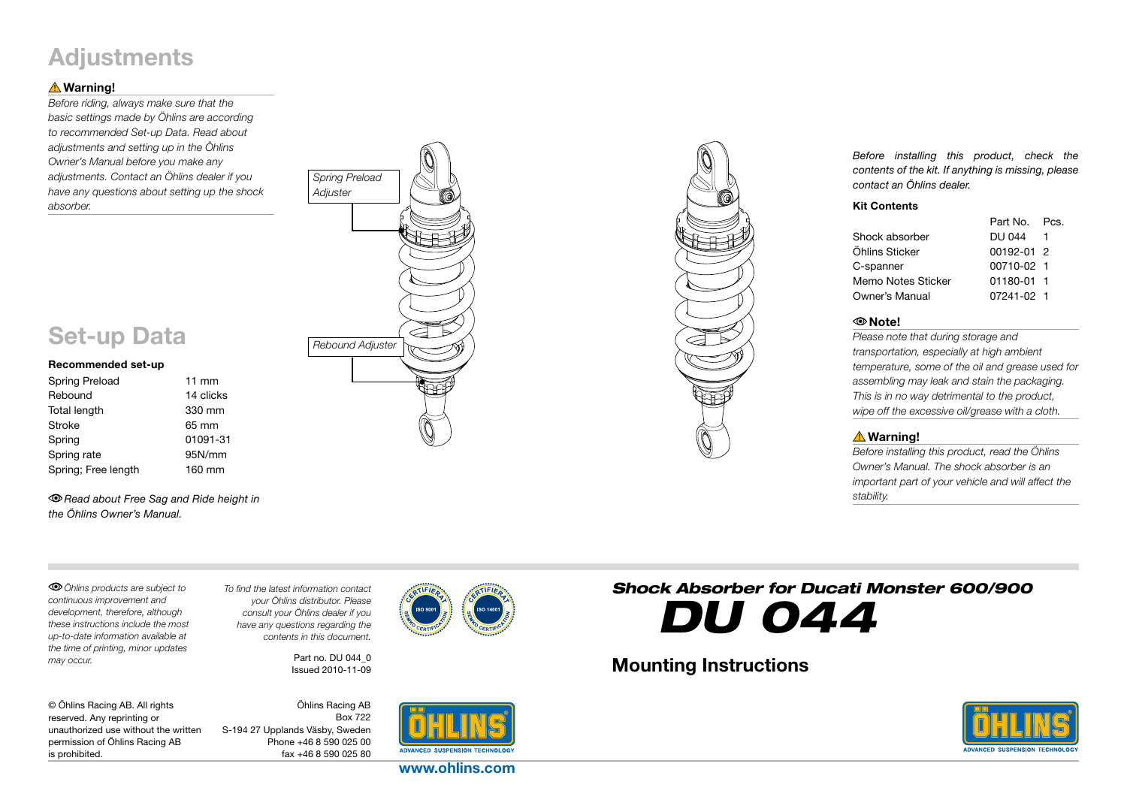## **Adjustments**

#### **△Warning!**

*Before riding, always make sure that the basic settings made by Öhlins are according to recommended Set-up Data. Read about adjustments and setting up in the Öhlins Owner's Manual before you make any adjustments. Contact an Öhlins dealer if you have any questions about setting up the shock absorber.*





*Before installing this product, check the contents of the kit. If anything is missing, please contact an Öhlins dealer.*

#### Kit Contents

| DU 044 |                                                                       |
|--------|-----------------------------------------------------------------------|
|        |                                                                       |
|        |                                                                       |
|        |                                                                       |
|        |                                                                       |
|        | Part No. Pcs.<br>00192-01 2<br>00710-02 1<br>01180-01 1<br>07241-02 1 |

#### Note!

*Please note that during storage and transportation, especially at high ambient temperature, some of the oil and grease used for assembling may leak and stain the packaging. This is in no way detrimental to the product, wipe off the excessive oil/grease with a cloth.*

#### **A** Warning!

*Before installing this product, read the Öhlins Owner's Manual. The shock absorber is an important part of your vehicle and will affect the stability.*

*Read about Free Sag and Ride height in the Öhlins Owner's Manual.*

*Öhlins products are subject to continuous improvement and development, therefore, although these instructions include the most up-to-date information available at the time of printing, minor updates may occur.* 

Set-up Data

Spring Preload 11 mm Rebound 14 clicks Total length 330 mm Stroke 65 mm Spring 01091-31 Spring rate 95N/mm Spring; Free length 160 mm

Recommended set-up

*To find the latest information contact your Öhlins distributor. Please consult your Öhlins dealer if you have any questions regarding the contents in this document.*

> Part no. DU 044\_0 Issued 2010-11-09

© Öhlins Racing AB. All rights reserved. Any reprinting or unauthorized use without the written permission of Öhlins Racing AB is prohibited.

Öhlins Racing AB Box 722 S-194 27 Upplands Väsby, Sweden Phone +46 8 590 025 00 fax +46 8 590 025 80



www.ohlins.com

# *Shock Absorber for Ducati Monster 600/900 DU 044*

### Mounting Instructions